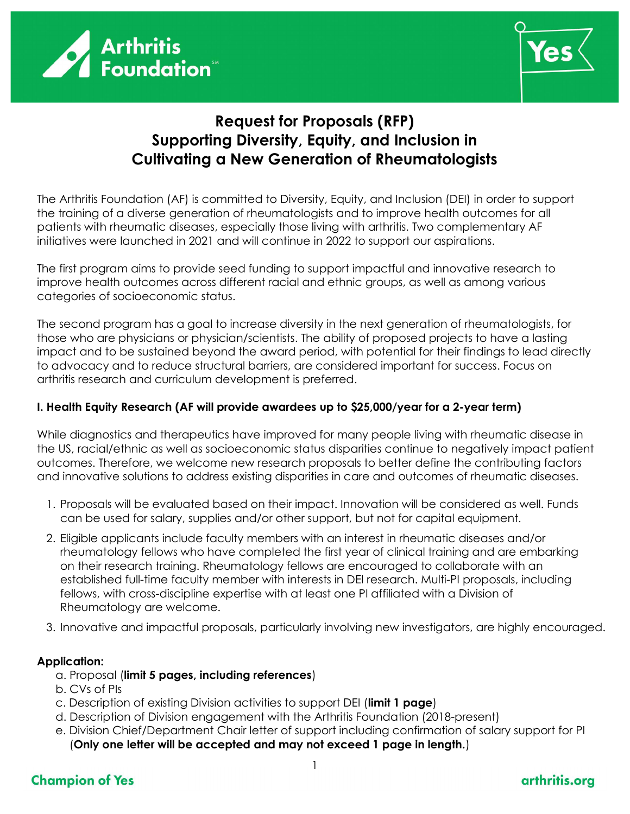



# Request for Proposals (RFP) Supporting Diversity, Equity, and Inclusion in Cultivating a New Generation of Rheumatologists

The Arthritis Foundation (AF) is committed to Diversity, Equity, and Inclusion (DEI) in order to support the training of a diverse generation of rheumatologists and to improve health outcomes for all patients with rheumatic diseases, especially those living with arthritis. Two complementary AF initiatives were launched in 2021 and will continue in 2022 to support our aspirations.

The first program aims to provide seed funding to support impactful and innovative research to improve health outcomes across different racial and ethnic groups, as well as among various categories of socioeconomic status.

The second program has a goal to increase diversity in the next generation of rheumatologists, for those who are physicians or physician/scientists. The ability of proposed projects to have a lasting impact and to be sustained beyond the award period, with potential for their findings to lead directly to advocacy and to reduce structural barriers, are considered important for success. Focus on arthritis research and curriculum development is preferred.

### I. Health Equity Research (AF will provide awardees up to \$25,000/year for a 2-year term)

While diagnostics and therapeutics have improved for many people living with rheumatic disease in the US, racial/ethnic as well as socioeconomic status disparities continue to negatively impact patient outcomes. Therefore, we welcome new research proposals to better define the contributing factors and innovative solutions to address existing disparities in care and outcomes of rheumatic diseases.

- 1. Proposals will be evaluated based on their impact. Innovation will be considered as well. Funds can be used for salary, supplies and/or other support, but not for capital equipment.
- 2. Eligible applicants include faculty members with an interest in rheumatic diseases and/or rheumatology fellows who have completed the first year of clinical training and are embarking on their research training. Rheumatology fellows are encouraged to collaborate with an established full-time faculty member with interests in DEI research. Multi-PI proposals, including fellows, with cross-discipline expertise with at least one PI affiliated with a Division of Rheumatology are welcome.
- 3. Innovative and impactful proposals, particularly involving new investigators, are highly encouraged.

### Application:

- a. Proposal (limit 5 pages, including references)
- b. CVs of PIs
- c. Description of existing Division activities to support DEI (limit 1 page)
- d. Description of Division engagement with the Arthritis Foundation (2018-present)
- e. Division Chief/Department Chair letter of support including confirmation of salary support for PI (Only one letter will be accepted and may not exceed 1 page in length.)

# **Champion of Yes**

## arthritis.org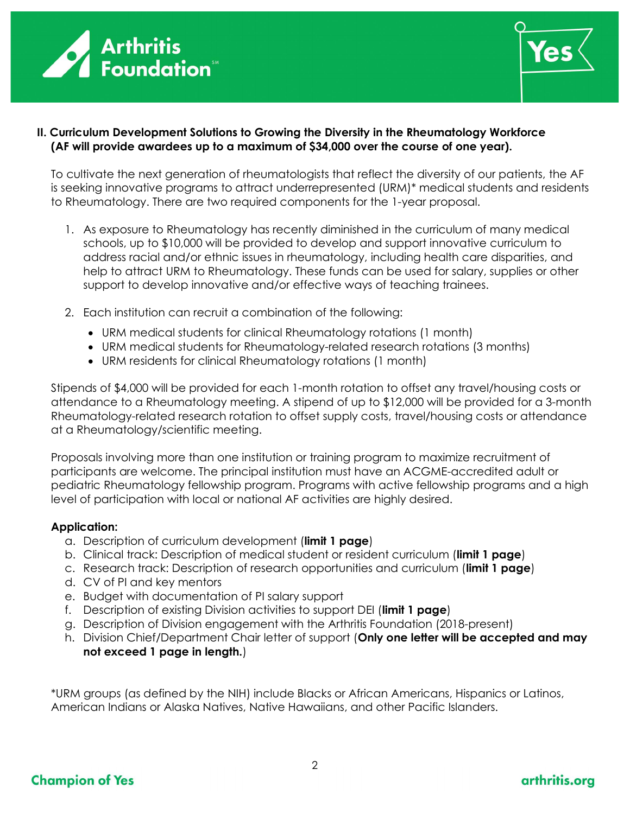



### II. Curriculum Development Solutions to Growing the Diversity in the Rheumatology Workforce (AF will provide awardees up to a maximum of \$34,000 over the course of one year).

To cultivate the next generation of rheumatologists that reflect the diversity of our patients, the AF is seeking innovative programs to attract underrepresented (URM)\* medical students and residents to Rheumatology. There are two required components for the 1-year proposal.

- 1. As exposure to Rheumatology has recently diminished in the curriculum of many medical schools, up to \$10,000 will be provided to develop and support innovative curriculum to address racial and/or ethnic issues in rheumatology, including health care disparities, and help to attract URM to Rheumatology. These funds can be used for salary, supplies or other support to develop innovative and/or effective ways of teaching trainees.
- 2. Each institution can recruit a combination of the following:
	- URM medical students for clinical Rheumatology rotations (1 month)
	- URM medical students for Rheumatology-related research rotations (3 months)
	- URM residents for clinical Rheumatology rotations (1 month)

Stipends of \$4,000 will be provided for each 1-month rotation to offset any travel/housing costs or attendance to a Rheumatology meeting. A stipend of up to \$12,000 will be provided for a 3-month Rheumatology-related research rotation to offset supply costs, travel/housing costs or attendance at a Rheumatology/scientific meeting.

Proposals involving more than one institution or training program to maximize recruitment of participants are welcome. The principal institution must have an ACGME-accredited adult or pediatric Rheumatology fellowship program. Programs with active fellowship programs and a high level of participation with local or national AF activities are highly desired.

#### Application:

- a. Description of curriculum development (limit 1 page)
- b. Clinical track: Description of medical student or resident curriculum (limit 1 page)
- c. Research track: Description of research opportunities and curriculum (limit 1 page)
- d. CV of PI and key mentors
- e. Budget with documentation of PI salary support
- f. Description of existing Division activities to support DEI (limit 1 page)
- g. Description of Division engagement with the Arthritis Foundation (2018-present)
- h. Division Chief/Department Chair letter of support (Only one letter will be accepted and may not exceed 1 page in length.)

\*URM groups (as defined by the NIH) include Blacks or African Americans, Hispanics or Latinos, American Indians or Alaska Natives, Native Hawaiians, and other Pacific Islanders.